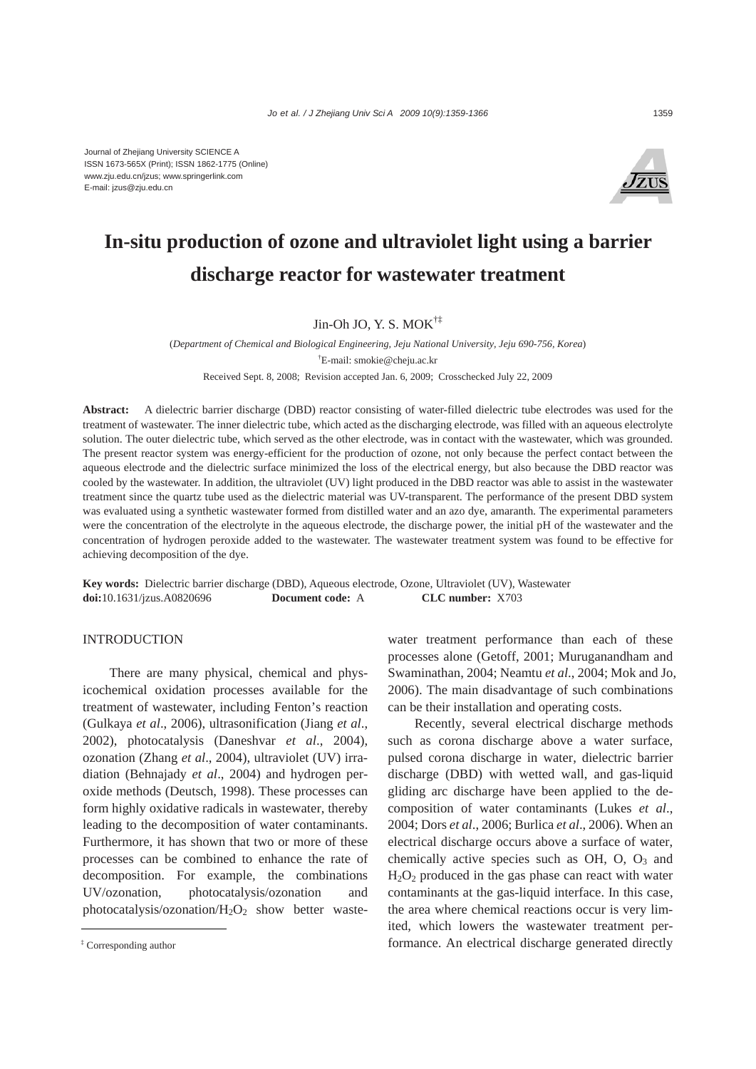Journal of Zhejiang University SCIENCE A ISSN 1673-565X (Print); ISSN 1862-1775 (Online) www.zju.edu.cn/jzus; www.springerlink.com E-mail: jzus@zju.edu.cn



# **In-situ production of ozone and ultraviolet light using a barrier discharge reactor for wastewater treatment**

## Jin-Oh JO, Y. S. MOK†‡

(*Department of Chemical and Biological Engineering, Jeju National University, Jeju 690-756, Korea*) † E-mail: smokie@cheju.ac.kr Received Sept. 8, 2008; Revision accepted Jan. 6, 2009; Crosschecked July 22, 2009

Abstract: A dielectric barrier discharge (DBD) reactor consisting of water-filled dielectric tube electrodes was used for the treatment of wastewater. The inner dielectric tube, which acted as the discharging electrode, was filled with an aqueous electrolyte solution. The outer dielectric tube, which served as the other electrode, was in contact with the wastewater, which was grounded. The present reactor system was energy-efficient for the production of ozone, not only because the perfect contact between the aqueous electrode and the dielectric surface minimized the loss of the electrical energy, but also because the DBD reactor was cooled by the wastewater. In addition, the ultraviolet (UV) light produced in the DBD reactor was able to assist in the wastewater treatment since the quartz tube used as the dielectric material was UV-transparent. The performance of the present DBD system was evaluated using a synthetic wastewater formed from distilled water and an azo dye, amaranth. The experimental parameters were the concentration of the electrolyte in the aqueous electrode, the discharge power, the initial pH of the wastewater and the concentration of hydrogen peroxide added to the wastewater. The wastewater treatment system was found to be effective for achieving decomposition of the dye.

**Key words:** Dielectric barrier discharge (DBD), Aqueous electrode, Ozone, Ultraviolet (UV), Wastewater **doi:**10.1631/jzus.A0820696 **Document code:** A **CLC number:** X703

#### **INTRODUCTION**

There are many physical, chemical and physicochemical oxidation processes available for the treatment of wastewater, including Fenton's reaction (Gulkaya *et al*., 2006), ultrasonification (Jiang *et al*., 2002), photocatalysis (Daneshvar *et al*., 2004), ozonation (Zhang *et al*., 2004), ultraviolet (UV) irradiation (Behnajady *et al*., 2004) and hydrogen peroxide methods (Deutsch, 1998). These processes can form highly oxidative radicals in wastewater, thereby leading to the decomposition of water contaminants. Furthermore, it has shown that two or more of these processes can be combined to enhance the rate of decomposition. For example, the combinations UV/ozonation, photocatalysis/ozonation and photocatalysis/ozonation/ $H_2O_2$  show better wastewater treatment performance than each of these processes alone (Getoff, 2001; Muruganandham and Swaminathan, 2004; Neamtu *et al*., 2004; Mok and Jo, 2006). The main disadvantage of such combinations can be their installation and operating costs.

Recently, several electrical discharge methods such as corona discharge above a water surface, pulsed corona discharge in water, dielectric barrier discharge (DBD) with wetted wall, and gas-liquid gliding arc discharge have been applied to the decomposition of water contaminants (Lukes *et al*., 2004; Dors *et al*., 2006; Burlica *et al*., 2006). When an electrical discharge occurs above a surface of water, chemically active species such as  $OH$ ,  $O$ ,  $O_3$  and  $H_2O_2$  produced in the gas phase can react with water contaminants at the gas-liquid interface. In this case, the area where chemical reactions occur is very limited, which lowers the wastewater treatment performance. An electrical discharge generated directly

<sup>‡</sup> Corresponding author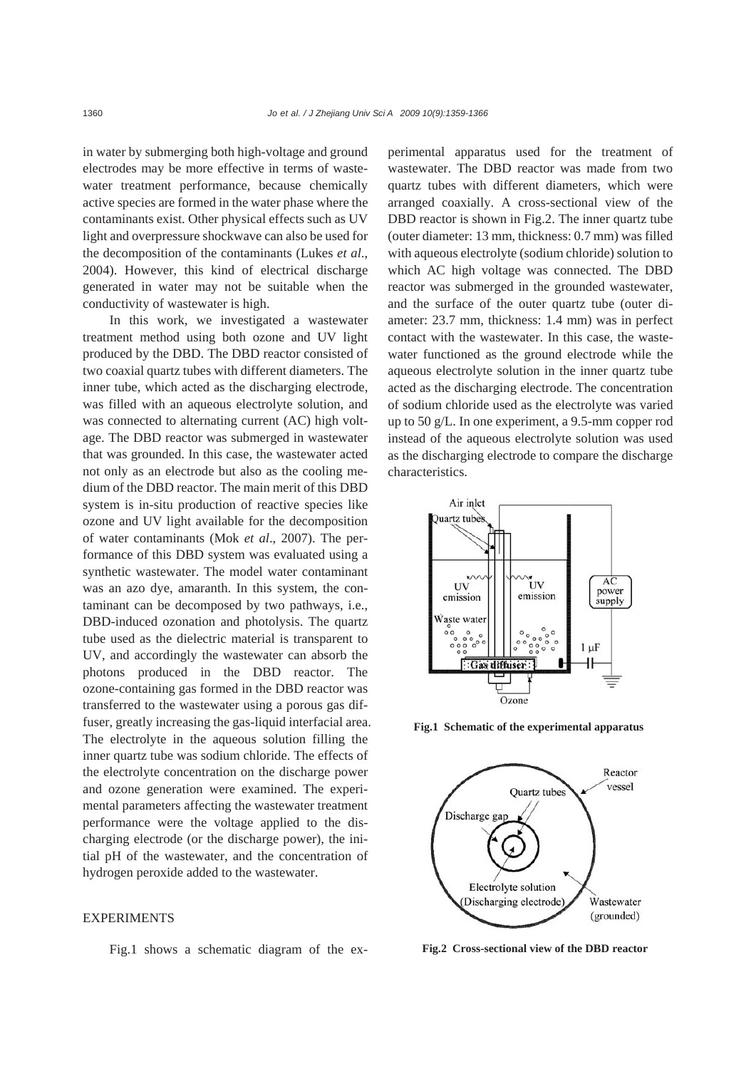in water by submerging both high-voltage and ground electrodes may be more effective in terms of wastewater treatment performance, because chemically active species are formed in the water phase where the contaminants exist. Other physical effects such as UV light and overpressure shockwave can also be used for the decomposition of the contaminants (Lukes *et al*., 2004). However, this kind of electrical discharge generated in water may not be suitable when the conductivity of wastewater is high.

In this work, we investigated a wastewater treatment method using both ozone and UV light produced by the DBD. The DBD reactor consisted of two coaxial quartz tubes with different diameters. The inner tube, which acted as the discharging electrode, was filled with an aqueous electrolyte solution, and was connected to alternating current (AC) high voltage. The DBD reactor was submerged in wastewater that was grounded. In this case, the wastewater acted not only as an electrode but also as the cooling medium of the DBD reactor. The main merit of this DBD system is in-situ production of reactive species like ozone and UV light available for the decomposition of water contaminants (Mok *et al*., 2007). The performance of this DBD system was evaluated using a synthetic wastewater. The model water contaminant was an azo dye, amaranth. In this system, the contaminant can be decomposed by two pathways, i.e., DBD-induced ozonation and photolysis. The quartz tube used as the dielectric material is transparent to UV, and accordingly the wastewater can absorb the photons produced in the DBD reactor. The ozone-containing gas formed in the DBD reactor was transferred to the wastewater using a porous gas diffuser, greatly increasing the gas-liquid interfacial area. The electrolyte in the aqueous solution filling the inner quartz tube was sodium chloride. The effects of the electrolyte concentration on the discharge power and ozone generation were examined. The experimental parameters affecting the wastewater treatment performance were the voltage applied to the discharging electrode (or the discharge power), the initial pH of the wastewater, and the concentration of hydrogen peroxide added to the wastewater.

#### **EXPERIMENTS**

Fig.1 shows a schematic diagram of the ex-

perimental apparatus used for the treatment of wastewater. The DBD reactor was made from two quartz tubes with different diameters, which were arranged coaxially. A cross-sectional view of the DBD reactor is shown in Fig.2. The inner quartz tube (outer diameter: 13 mm, thickness: 0.7 mm) was filled with aqueous electrolyte (sodium chloride) solution to which AC high voltage was connected. The DBD reactor was submerged in the grounded wastewater, and the surface of the outer quartz tube (outer diameter: 23.7 mm, thickness: 1.4 mm) was in perfect contact with the wastewater. In this case, the wastewater functioned as the ground electrode while the aqueous electrolyte solution in the inner quartz tube acted as the discharging electrode. The concentration of sodium chloride used as the electrolyte was varied up to 50 g/L. In one experiment, a 9.5-mm copper rod instead of the aqueous electrolyte solution was used as the discharging electrode to compare the discharge characteristics.



**Fig.1 Schematic of the experimental apparatus**



**Fig.2 Cross-sectional view of the DBD reactor**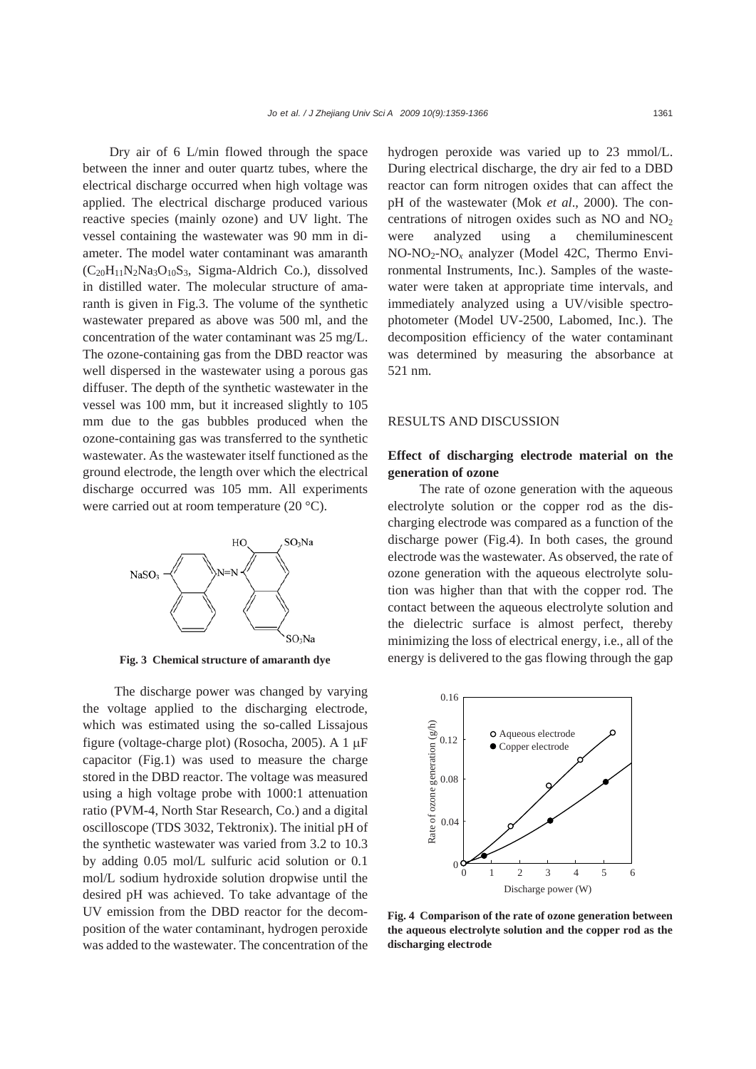Dry air of 6 L/min flowed through the space between the inner and outer quartz tubes, where the electrical discharge occurred when high voltage was applied. The electrical discharge produced various reactive species (mainly ozone) and UV light. The vessel containing the wastewater was 90 mm in diameter. The model water contaminant was amaranth  $(C_{20}H_{11}N_2Na_3O_{10}S_3,$  Sigma-Aldrich Co.), dissolved in distilled water. The molecular structure of amaranth is given in Fig.3. The volume of the synthetic wastewater prepared as above was 500 ml, and the concentration of the water contaminant was 25 mg/L. The ozone-containing gas from the DBD reactor was well dispersed in the wastewater using a porous gas diffuser. The depth of the synthetic wastewater in the vessel was 100 mm, but it increased slightly to 105 mm due to the gas bubbles produced when the ozone-containing gas was transferred to the synthetic wastewater. As the wastewater itself functioned as the ground electrode, the length over which the electrical discharge occurred was 105 mm. All experiments were carried out at room temperature (20 °C).



**Fig. 3 Chemical structure of amaranth dye**

The discharge power was changed by varying the voltage applied to the discharging electrode, which was estimated using the so-called Lissajous figure (voltage-charge plot) (Rosocha, 2005). A 1 μF capacitor (Fig.1) was used to measure the charge stored in the DBD reactor. The voltage was measured using a high voltage probe with 1000:1 attenuation ratio (PVM-4, North Star Research, Co.) and a digital oscilloscope (TDS 3032, Tektronix). The initial pH of the synthetic wastewater was varied from 3.2 to 10.3 by adding 0.05 mol/L sulfuric acid solution or 0.1 mol/L sodium hydroxide solution dropwise until the desired pH was achieved. To take advantage of the UV emission from the DBD reactor for the decomposition of the water contaminant, hydrogen peroxide was added to the wastewater. The concentration of the

hydrogen peroxide was varied up to 23 mmol/L. During electrical discharge, the dry air fed to a DBD reactor can form nitrogen oxides that can affect the pH of the wastewater (Mok *et al*., 2000). The concentrations of nitrogen oxides such as  $NO$  and  $NO<sub>2</sub>$ were analyzed using a chemiluminescent NO-NO2-NO*x* analyzer (Model 42C, Thermo Environmental Instruments, Inc.). Samples of the wastewater were taken at appropriate time intervals, and immediately analyzed using a UV/visible spectrophotometer (Model UV-2500, Labomed, Inc.). The decomposition efficiency of the water contaminant was determined by measuring the absorbance at 521 nm.

#### RESULTS AND DISCUSSION

#### **Effect of discharging electrode material on the generation of ozone**

The rate of ozone generation with the aqueous electrolyte solution or the copper rod as the discharging electrode was compared as a function of the discharge power (Fig.4). In both cases, the ground electrode was the wastewater. As observed, the rate of ozone generation with the aqueous electrolyte solution was higher than that with the copper rod. The contact between the aqueous electrolyte solution and the dielectric surface is almost perfect, thereby minimizing the loss of electrical energy, i.e., all of the energy is delivered to the gas flowing through the gap



**Fig. 4 Comparison of the rate of ozone generation between the aqueous electrolyte solution and the copper rod as the discharging electrode**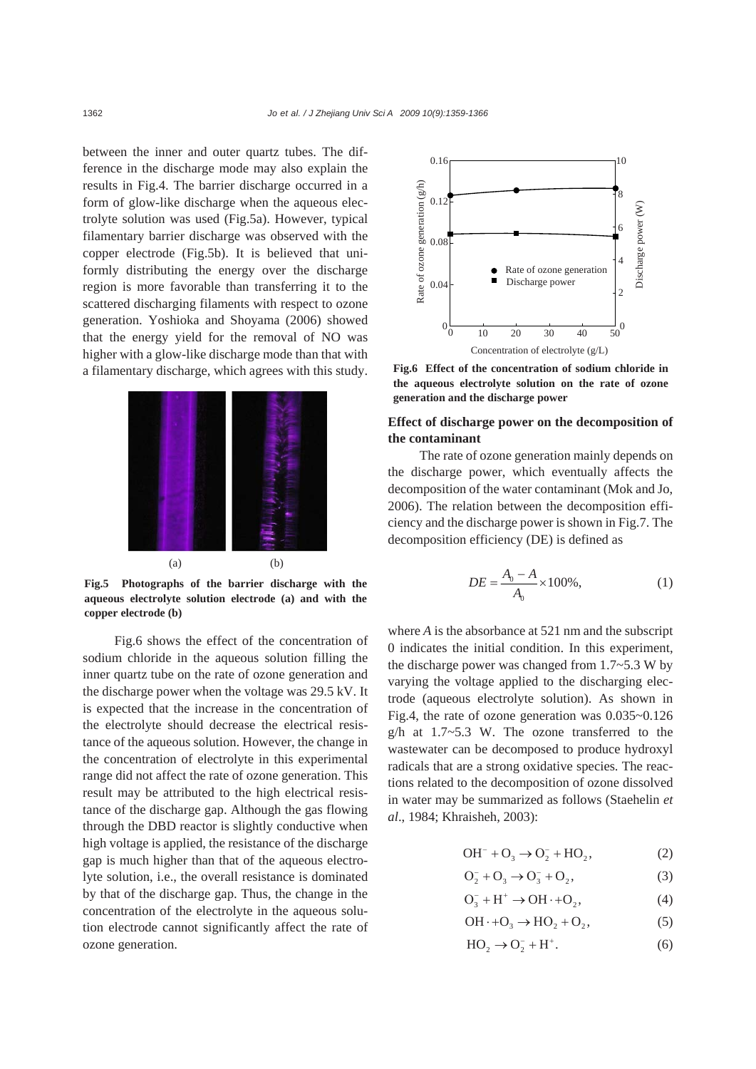between the inner and outer quartz tubes. The difference in the discharge mode may also explain the results in Fig.4. The barrier discharge occurred in a form of glow-like discharge when the aqueous electrolyte solution was used (Fig.5a). However, typical filamentary barrier discharge was observed with the copper electrode (Fig.5b). It is believed that uniformly distributing the energy over the discharge region is more favorable than transferring it to the scattered discharging filaments with respect to ozone generation. Yoshioka and Shoyama (2006) showed that the energy yield for the removal of NO was higher with a glow-like discharge mode than that with a filamentary discharge, which agrees with this study.



**Fig.5 Photographs of the barrier discharge with the aqueous electrolyte solution electrode (a) and with the copper electrode (b)** 

Fig.6 shows the effect of the concentration of sodium chloride in the aqueous solution filling the inner quartz tube on the rate of ozone generation and the discharge power when the voltage was 29.5 kV. It is expected that the increase in the concentration of the electrolyte should decrease the electrical resistance of the aqueous solution. However, the change in the concentration of electrolyte in this experimental range did not affect the rate of ozone generation. This result may be attributed to the high electrical resistance of the discharge gap. Although the gas flowing through the DBD reactor is slightly conductive when high voltage is applied, the resistance of the discharge gap is much higher than that of the aqueous electrolyte solution, i.e., the overall resistance is dominated by that of the discharge gap. Thus, the change in the concentration of the electrolyte in the aqueous solution electrode cannot significantly affect the rate of ozone generation.



**Fig.6 Effect of the concentration of sodium chloride in the aqueous electrolyte solution on the rate of ozone**

#### **Effect of discharge power on the decomposition of the contaminant**

The rate of ozone generation mainly depends on the discharge power, which eventually affects the decomposition of the water contaminant (Mok and Jo, 2006). The relation between the decomposition efficiency and the discharge power is shown in Fig.7. The decomposition efficiency (DE) is defined as

$$
DE = \frac{A_0 - A}{A_0} \times 100\%,\tag{1}
$$

where *A* is the absorbance at 521 nm and the subscript 0 indicates the initial condition. In this experiment, the discharge power was changed from 1.7~5.3 W by varying the voltage applied to the discharging electrode (aqueous electrolyte solution). As shown in Fig.4, the rate of ozone generation was 0.035~0.126 g/h at 1.7~5.3 W. The ozone transferred to the wastewater can be decomposed to produce hydroxyl radicals that are a strong oxidative species. The reactions related to the decomposition of ozone dissolved in water may be summarized as follows (Staehelin *et al*., 1984; Khraisheh, 2003):

$$
OH^{-} + O_{3} \rightarrow O_{2}^{-} + HO_{2}, \tag{2}
$$

$$
O_2^- + O_3 \to O_3^- + O_2,\tag{3}
$$

$$
O_3^- + H^+ \to OH \cdot + O_2,\tag{4}
$$

$$
\text{OH} \cdot + \text{O}_3 \rightarrow \text{HO}_2 + \text{O}_2,\tag{5}
$$

$$
HO_2 \to O_2^- + H^+. \tag{6}
$$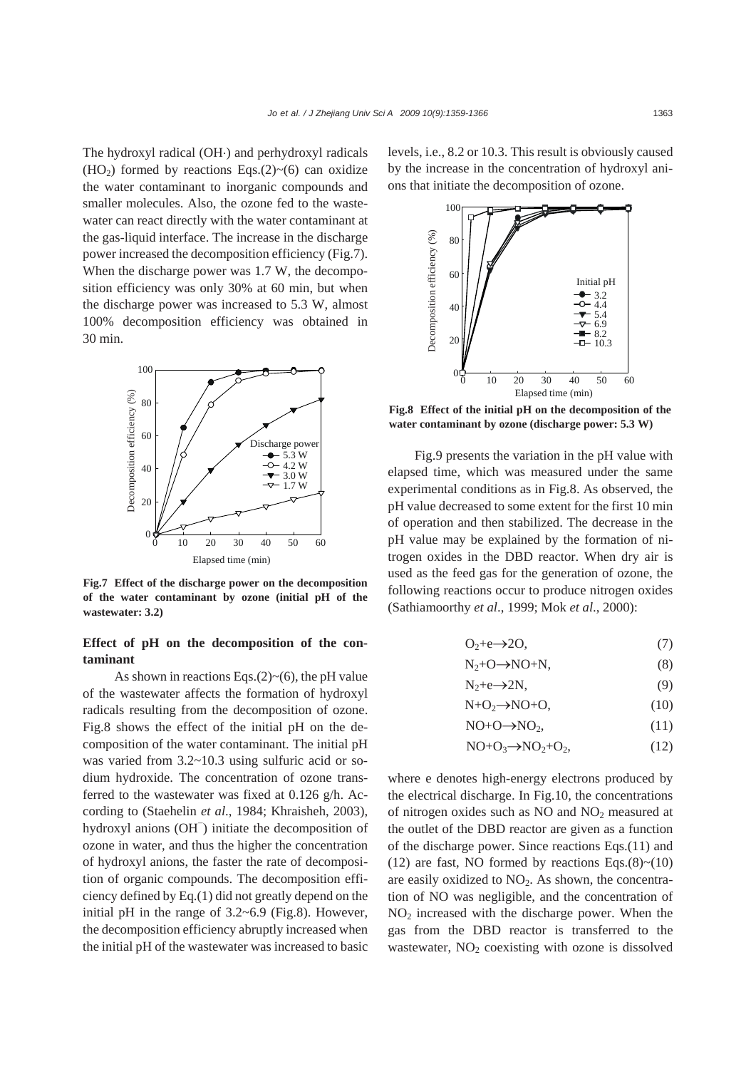The hydroxyl radical (OH⋅) and perhydroxyl radicals  $(HO<sub>2</sub>)$  formed by reactions Eqs.(2)~(6) can oxidize the water contaminant to inorganic compounds and smaller molecules. Also, the ozone fed to the wastewater can react directly with the water contaminant at the gas-liquid interface. The increase in the discharge power increased the decomposition efficiency (Fig.7). When the discharge power was 1.7 W, the decomposition efficiency was only 30% at 60 min, but when the discharge power was increased to 5.3 W, almost 100% decomposition efficiency was obtained in 30 min.



**Fig.7 Effect of the discharge power on the decomposition of the water contaminant by ozone (initial pH of the wastewater: 3.2)**

#### **Effect of pH on the decomposition of the contaminant**

As shown in reactions Eqs. $(2)~(6)$ , the pH value of the wastewater affects the formation of hydroxyl radicals resulting from the decomposition of ozone. Fig.8 shows the effect of the initial pH on the decomposition of the water contaminant. The initial pH was varied from 3.2~10.3 using sulfuric acid or sodium hydroxide. The concentration of ozone transferred to the wastewater was fixed at 0.126 g/h. According to (Staehelin *et al*., 1984; Khraisheh, 2003), hydroxyl anions (OH<sup>−</sup> ) initiate the decomposition of ozone in water, and thus the higher the concentration of hydroxyl anions, the faster the rate of decomposition of organic compounds. The decomposition efficiency defined by Eq.(1) did not greatly depend on the initial pH in the range of 3.2~6.9 (Fig.8). However, the decomposition efficiency abruptly increased when the initial pH of the wastewater was increased to basic

levels, i.e., 8.2 or 10.3. This result is obviously caused by the increase in the concentration of hydroxyl anions that initiate the decomposition of ozone.



**Fig.8 Effect of the initial pH on the decomposition of the water contaminant by ozone (discharge power: 5.3 W)** 

Fig.9 presents the variation in the pH value with elapsed time, which was measured under the same experimental conditions as in Fig.8. As observed, the pH value decreased to some extent for the first 10 min of operation and then stabilized. The decrease in the pH value may be explained by the formation of nitrogen oxides in the DBD reactor. When dry air is used as the feed gas for the generation of ozone, the following reactions occur to produce nitrogen oxides (Sathiamoorthy *et al*., 1999; Mok *et al*., 2000):

$$
O_2 + e \rightarrow 2O,\tag{7}
$$

$$
N_2 + O \rightarrow NO + N, \tag{8}
$$

$$
N_2 + e \rightarrow 2N, \tag{9}
$$

$$
N+O_2 \longrightarrow NO+O,\tag{10}
$$

$$
NO+O \rightarrow NO_2,\tag{11}
$$

$$
NO+O_3 \rightarrow NO_2+O_2, \tag{12}
$$

where e denotes high-energy electrons produced by the electrical discharge. In Fig.10, the concentrations of nitrogen oxides such as  $NO$  and  $NO<sub>2</sub>$  measured at the outlet of the DBD reactor are given as a function of the discharge power. Since reactions Eqs.(11) and (12) are fast, NO formed by reactions Eqs. $(8)$  ~ $(10)$ are easily oxidized to  $NO<sub>2</sub>$ . As shown, the concentration of NO was negligible, and the concentration of  $NO<sub>2</sub>$  increased with the discharge power. When the gas from the DBD reactor is transferred to the wastewater,  $NO<sub>2</sub>$  coexisting with ozone is dissolved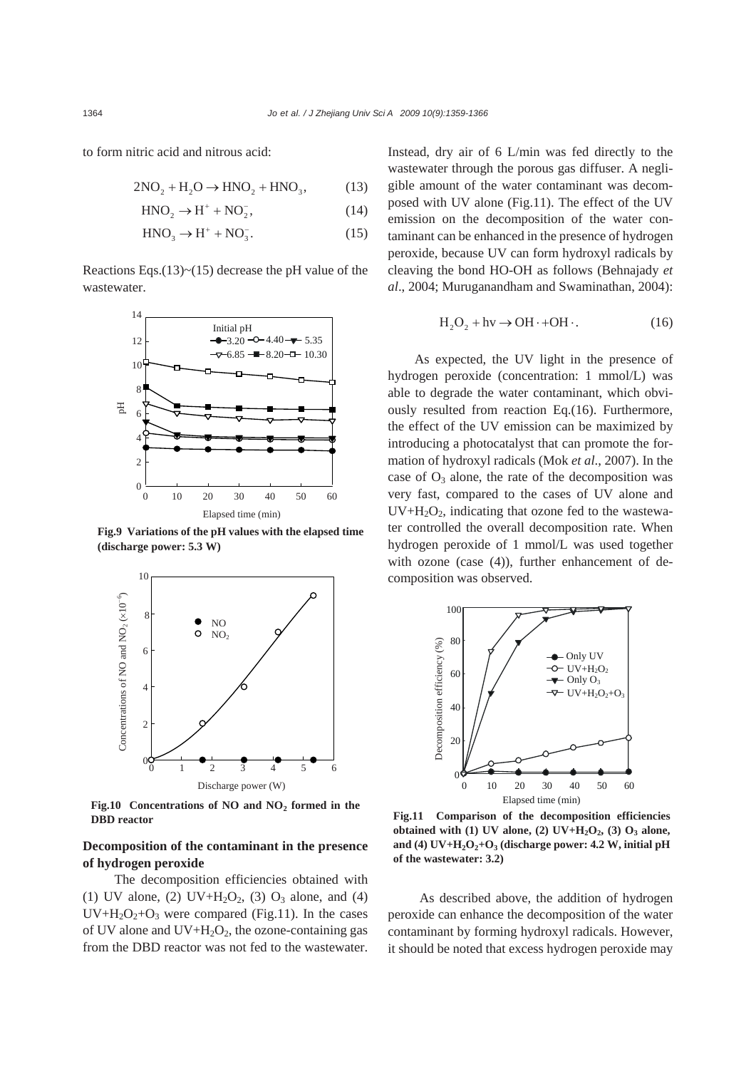to form nitric acid and nitrous acid:

$$
2NO2 + H2O \rightarrow HNO2 + HNO3, \t(13)
$$

$$
HNO_2 \rightarrow H^+ + NO_2^-, \tag{14}
$$

$$
HNO3 \to H+ + NO3-.
$$
 (15)

Reactions Eqs. $(13)$ ~ $(15)$  decrease the pH value of the wastewater.



**Fig.9 Variations of the pH values with the elapsed time (discharge power: 5.3 W)** 



Fig.10 Concentrations of NO and NO<sub>2</sub> formed in the **DBD reactor** 

#### **Decomposition of the contaminant in the presence of hydrogen peroxide**

The decomposition efficiencies obtained with (1) UV alone, (2) UV+H<sub>2</sub>O<sub>2</sub>, (3) O<sub>3</sub> alone, and (4)  $UV+H<sub>2</sub>O<sub>2</sub>+O<sub>3</sub>$  were compared (Fig.11). In the cases of UV alone and  $UV+H<sub>2</sub>O<sub>2</sub>$ , the ozone-containing gas from the DBD reactor was not fed to the wastewater.

Instead, dry air of 6 L/min was fed directly to the wastewater through the porous gas diffuser. A negligible amount of the water contaminant was decomposed with UV alone (Fig.11). The effect of the UV emission on the decomposition of the water contaminant can be enhanced in the presence of hydrogen peroxide, because UV can form hydroxyl radicals by cleaving the bond HO-OH as follows (Behnajady *et al*., 2004; Muruganandham and Swaminathan, 2004):

$$
H_2O_2 + hv \to OH \cdot + OH \cdot.
$$
 (16)

As expected, the UV light in the presence of hydrogen peroxide (concentration: 1 mmol/L) was able to degrade the water contaminant, which obviously resulted from reaction Eq.(16). Furthermore, the effect of the UV emission can be maximized by introducing a photocatalyst that can promote the formation of hydroxyl radicals (Mok *et al*., 2007). In the case of  $O_3$  alone, the rate of the decomposition was very fast, compared to the cases of UV alone and  $UV+H<sub>2</sub>O<sub>2</sub>$ , indicating that ozone fed to the wastewater controlled the overall decomposition rate. When hydrogen peroxide of 1 mmol/L was used together with ozone (case (4)), further enhancement of decomposition was observed.



**Fig.11 Comparison of the decomposition efficiencies obtained with (1) UV alone, (2) UV+H<sub>2</sub>O<sub>2</sub>, (3) O<sub>3</sub> alone,** and (4)  $UV+H_2O_2+O_3$  (discharge power: 4.2 W, initial pH **of the wastewater: 3.2)** 

As described above, the addition of hydrogen peroxide can enhance the decomposition of the water contaminant by forming hydroxyl radicals. However, it should be noted that excess hydrogen peroxide may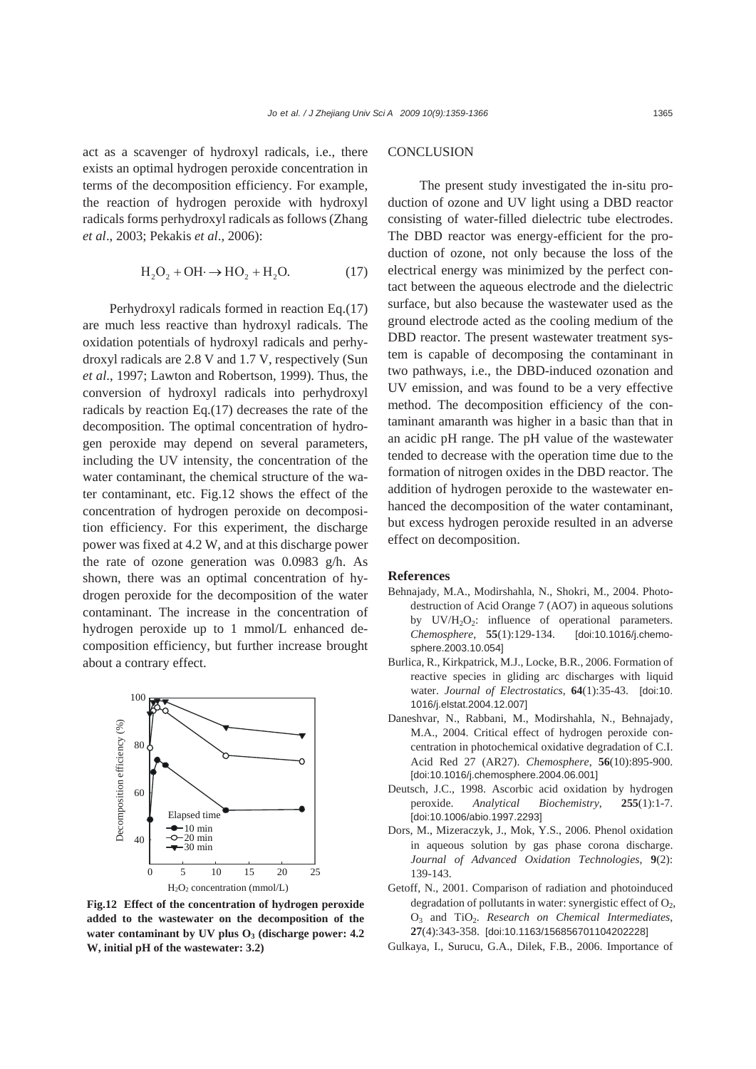act as a scavenger of hydroxyl radicals, i.e., there exists an optimal hydrogen peroxide concentration in terms of the decomposition efficiency. For example, the reaction of hydrogen peroxide with hydroxyl radicals forms perhydroxyl radicals as follows (Zhang *et al*., 2003; Pekakis *et al*., 2006):

$$
H_2O_2 + OH \rightarrow HO_2 + H_2O. \tag{17}
$$

Perhydroxyl radicals formed in reaction Eq.(17) are much less reactive than hydroxyl radicals. The oxidation potentials of hydroxyl radicals and perhydroxyl radicals are 2.8 V and 1.7 V, respectively (Sun *et al*., 1997; Lawton and Robertson, 1999). Thus, the conversion of hydroxyl radicals into perhydroxyl radicals by reaction Eq.(17) decreases the rate of the decomposition. The optimal concentration of hydrogen peroxide may depend on several parameters, including the UV intensity, the concentration of the water contaminant, the chemical structure of the water contaminant, etc. Fig.12 shows the effect of the concentration of hydrogen peroxide on decomposition efficiency. For this experiment, the discharge power was fixed at 4.2 W, and at this discharge power the rate of ozone generation was 0.0983 g/h. As shown, there was an optimal concentration of hydrogen peroxide for the decomposition of the water contaminant. The increase in the concentration of hydrogen peroxide up to 1 mmol/L enhanced decomposition efficiency, but further increase brought about a contrary effect.



**Fig.12 Effect of the concentration of hydrogen peroxide added to the wastewater on the decomposition of the**  water contaminant by UV plus  $O_3$  (discharge power:  $4.2$ ) **W, initial pH of the wastewater: 3.2)** 

### **CONCLUSION**

The present study investigated the in-situ production of ozone and UV light using a DBD reactor consisting of water-filled dielectric tube electrodes. The DBD reactor was energy-efficient for the production of ozone, not only because the loss of the electrical energy was minimized by the perfect contact between the aqueous electrode and the dielectric surface, but also because the wastewater used as the ground electrode acted as the cooling medium of the DBD reactor. The present wastewater treatment system is capable of decomposing the contaminant in two pathways, i.e., the DBD-induced ozonation and UV emission, and was found to be a very effective method. The decomposition efficiency of the contaminant amaranth was higher in a basic than that in an acidic pH range. The pH value of the wastewater tended to decrease with the operation time due to the formation of nitrogen oxides in the DBD reactor. The addition of hydrogen peroxide to the wastewater enhanced the decomposition of the water contaminant, but excess hydrogen peroxide resulted in an adverse effect on decomposition.

#### **References**

- Behnajady, M.A., Modirshahla, N., Shokri, M., 2004. Photodestruction of Acid Orange 7 (AO7) in aqueous solutions by  $UV/H<sub>2</sub>O<sub>2</sub>$ : influence of operational parameters. *Chemosphere*, **55**(1):129-134. [doi:10.1016/j.chemosphere.2003.10.054]
- Burlica, R., Kirkpatrick, M.J., Locke, B.R., 2006. Formation of reactive species in gliding arc discharges with liquid water. *Journal of Electrostatics*, **64**(1):35-43. [doi:10. 1016/j.elstat.2004.12.007]
- Daneshvar, N., Rabbani, M., Modirshahla, N., Behnajady, M.A., 2004. Critical effect of hydrogen peroxide concentration in photochemical oxidative degradation of C.I. Acid Red 27 (AR27). *Chemosphere*, **56**(10):895-900. [doi:10.1016/j.chemosphere.2004.06.001]
- Deutsch, J.C., 1998. Ascorbic acid oxidation by hydrogen peroxide. *Analytical Biochemistry*, **255**(1):1-7. [doi:10.1006/abio.1997.2293]
- Dors, M., Mizeraczyk, J., Mok, Y.S., 2006. Phenol oxidation in aqueous solution by gas phase corona discharge. *Journal of Advanced Oxidation Technologies*, **9**(2): 139-143.
- Getoff, N., 2001. Comparison of radiation and photoinduced degradation of pollutants in water: synergistic effect of  $O_2$ , O3 and TiO2. *Research on Chemical Intermediates*, **27**(4):343-358. [doi:10.1163/156856701104202228]
- Gulkaya, I., Surucu, G.A., Dilek, F.B., 2006. Importance of